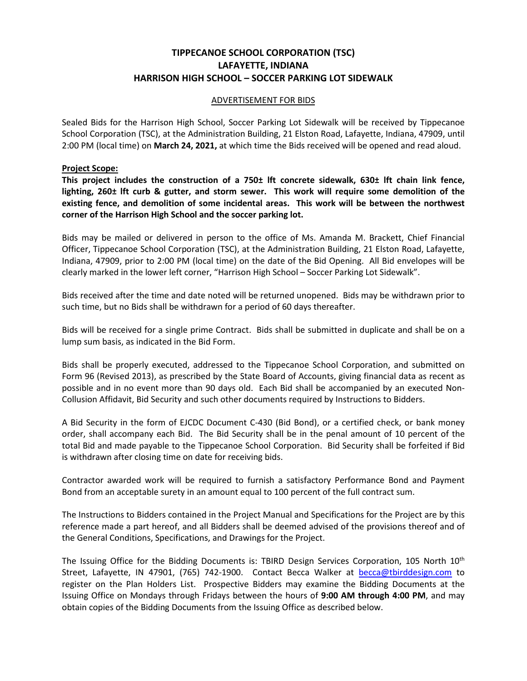## **TIPPECANOE SCHOOL CORPORATION (TSC) LAFAYETTE, INDIANA HARRISON HIGH SCHOOL – SOCCER PARKING LOT SIDEWALK**

## ADVERTISEMENT FOR BIDS

Sealed Bids for the Harrison High School, Soccer Parking Lot Sidewalk will be received by Tippecanoe School Corporation (TSC), at the Administration Building, 21 Elston Road, Lafayette, Indiana, 47909, until 2:00 PM (local time) on **March 24, 2021,** at which time the Bids received will be opened and read aloud.

## **Project Scope:**

**This project includes the construction of a 750± lft concrete sidewalk, 630± lft chain link fence, lighting, 260± lft curb & gutter, and storm sewer. This work will require some demolition of the existing fence, and demolition of some incidental areas. This work will be between the northwest corner of the Harrison High School and the soccer parking lot.** 

Bids may be mailed or delivered in person to the office of Ms. Amanda M. Brackett, Chief Financial Officer, Tippecanoe School Corporation (TSC), at the Administration Building, 21 Elston Road, Lafayette, Indiana, 47909, prior to 2:00 PM (local time) on the date of the Bid Opening. All Bid envelopes will be clearly marked in the lower left corner, "Harrison High School – Soccer Parking Lot Sidewalk".

Bids received after the time and date noted will be returned unopened. Bids may be withdrawn prior to such time, but no Bids shall be withdrawn for a period of 60 days thereafter.

Bids will be received for a single prime Contract. Bids shall be submitted in duplicate and shall be on a lump sum basis, as indicated in the Bid Form.

Bids shall be properly executed, addressed to the Tippecanoe School Corporation, and submitted on Form 96 (Revised 2013), as prescribed by the State Board of Accounts, giving financial data as recent as possible and in no event more than 90 days old. Each Bid shall be accompanied by an executed Non-Collusion Affidavit, Bid Security and such other documents required by Instructions to Bidders.

A Bid Security in the form of EJCDC Document C-430 (Bid Bond), or a certified check, or bank money order, shall accompany each Bid. The Bid Security shall be in the penal amount of 10 percent of the total Bid and made payable to the Tippecanoe School Corporation. Bid Security shall be forfeited if Bid is withdrawn after closing time on date for receiving bids.

Contractor awarded work will be required to furnish a satisfactory Performance Bond and Payment Bond from an acceptable surety in an amount equal to 100 percent of the full contract sum.

The Instructions to Bidders contained in the Project Manual and Specifications for the Project are by this reference made a part hereof, and all Bidders shall be deemed advised of the provisions thereof and of the General Conditions, Specifications, and Drawings for the Project.

The Issuing Office for the Bidding Documents is: TBIRD Design Services Corporation, 105 North 10<sup>th</sup> Street, Lafayette, IN 47901, (765) 742-1900. Contact Becca Walker at becca@tbirddesign.com to register on the Plan Holders List. Prospective Bidders may examine the Bidding Documents at the Issuing Office on Mondays through Fridays between the hours of **9:00 AM through 4:00 PM**, and may obtain copies of the Bidding Documents from the Issuing Office as described below.